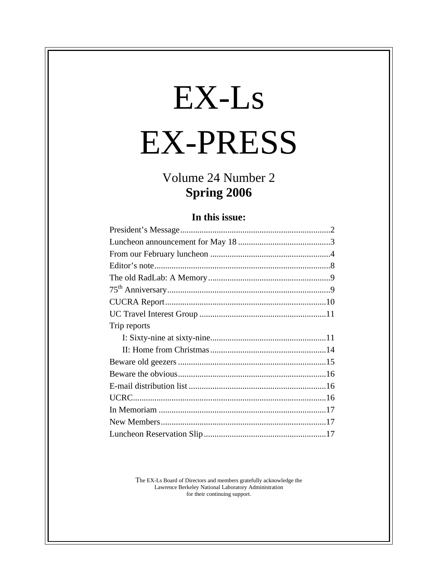# EX-Ls EX-PRESS

## Volume 24 Number 2 **Spring 2006**

### **In this issue:**

| Trip reports |
|--------------|
|              |
|              |
|              |
|              |
|              |
|              |
|              |
|              |
|              |

The EX-Ls Board of Directors and members gratefully acknowledge the Lawrence Berkeley National Laboratory Administration for their continuing support.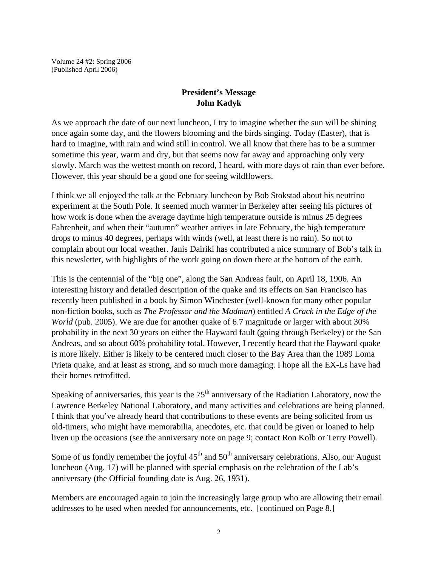Volume 24 #2: Spring 2006 (Published April 2006)

#### **President's Message John Kadyk**

As we approach the date of our next luncheon, I try to imagine whether the sun will be shining once again some day, and the flowers blooming and the birds singing. Today (Easter), that is hard to imagine, with rain and wind still in control. We all know that there has to be a summer sometime this year, warm and dry, but that seems now far away and approaching only very slowly. March was the wettest month on record, I heard, with more days of rain than ever before. However, this year should be a good one for seeing wildflowers.

I think we all enjoyed the talk at the February luncheon by Bob Stokstad about his neutrino experiment at the South Pole. It seemed much warmer in Berkeley after seeing his pictures of how work is done when the average daytime high temperature outside is minus 25 degrees Fahrenheit, and when their "autumn" weather arrives in late February, the high temperature drops to minus 40 degrees, perhaps with winds (well, at least there is no rain). So not to complain about our local weather. Janis Dairiki has contributed a nice summary of Bob's talk in this newsletter, with highlights of the work going on down there at the bottom of the earth.

This is the centennial of the "big one", along the San Andreas fault, on April 18, 1906. An interesting history and detailed description of the quake and its effects on San Francisco has recently been published in a book by Simon Winchester (well-known for many other popular non-fiction books, such as *The Professor and the Madman*) entitled *A Crack in the Edge of the World* (pub. 2005). We are due for another quake of 6.7 magnitude or larger with about 30% probability in the next 30 years on either the Hayward fault (going through Berkeley) or the San Andreas, and so about 60% probability total. However, I recently heard that the Hayward quake is more likely. Either is likely to be centered much closer to the Bay Area than the 1989 Loma Prieta quake, and at least as strong, and so much more damaging. I hope all the EX-Ls have had their homes retrofitted.

Speaking of anniversaries, this year is the  $75<sup>th</sup>$  anniversary of the Radiation Laboratory, now the Lawrence Berkeley National Laboratory, and many activities and celebrations are being planned. I think that you've already heard that contributions to these events are being solicited from us old-timers, who might have memorabilia, anecdotes, etc. that could be given or loaned to help liven up the occasions (see the anniversary note on page 9; contact Ron Kolb or Terry Powell).

Some of us fondly remember the joyful  $45<sup>th</sup>$  and  $50<sup>th</sup>$  anniversary celebrations. Also, our August luncheon (Aug. 17) will be planned with special emphasis on the celebration of the Lab's anniversary (the Official founding date is Aug. 26, 1931).

Members are encouraged again to join the increasingly large group who are allowing their email addresses to be used when needed for announcements, etc. [continued on Page 8.]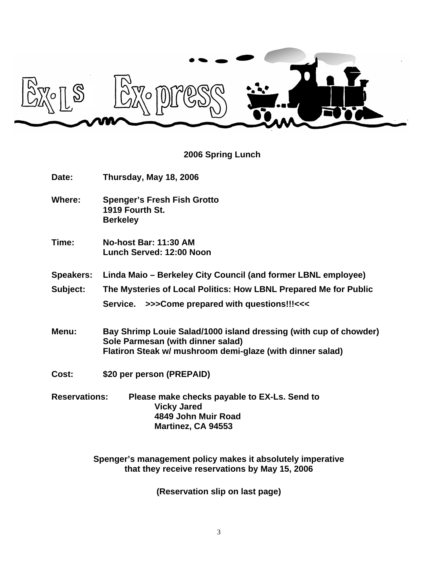

## **2006 Spring Lunch**

| <b>Date:</b>         | Thursday, May 18, 2006                                                                                                                                              |  |
|----------------------|---------------------------------------------------------------------------------------------------------------------------------------------------------------------|--|
| <b>Where:</b>        | <b>Spenger's Fresh Fish Grotto</b><br>1919 Fourth St.<br><b>Berkeley</b>                                                                                            |  |
| Time:                | <b>No-host Bar: 11:30 AM</b><br>Lunch Served: 12:00 Noon                                                                                                            |  |
| <b>Speakers:</b>     | Linda Maio – Berkeley City Council (and former LBNL employee)                                                                                                       |  |
| Subject:             | The Mysteries of Local Politics: How LBNL Prepared Me for Public                                                                                                    |  |
|                      | Service. >>>Come prepared with questions!!!<<<                                                                                                                      |  |
| Menu:                | Bay Shrimp Louie Salad/1000 island dressing (with cup of chowder)<br>Sole Parmesan (with dinner salad)<br>Flatiron Steak w/ mushroom demi-glaze (with dinner salad) |  |
| Cost:                | \$20 per person (PREPAID)                                                                                                                                           |  |
| <b>Reservations:</b> | Please make checks payable to EX-Ls. Send to<br><b>Vicky Jared</b><br>4849 John Muir Road<br>Martinez, CA 94553                                                     |  |

**Spenger's management policy makes it absolutely imperative that they receive reservations by May 15, 2006**

**(Reservation slip on last page)**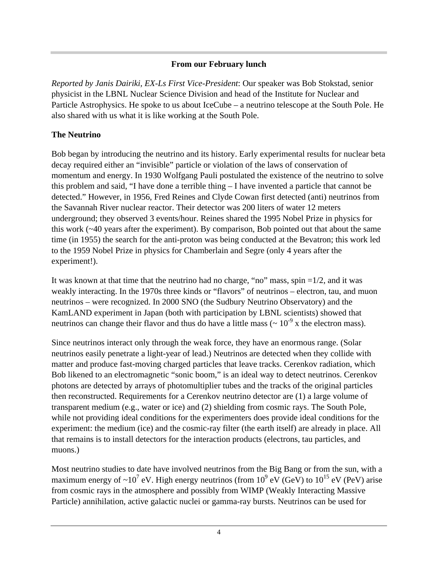#### **From our February lunch**

*Reported by Janis Dairiki, EX-Ls First Vice-President*: Our speaker was Bob Stokstad, senior physicist in the LBNL Nuclear Science Division and head of the Institute for Nuclear and Particle Astrophysics. He spoke to us about IceCube – a neutrino telescope at the South Pole. He also shared with us what it is like working at the South Pole.

#### **The Neutrino**

Bob began by introducing the neutrino and its history. Early experimental results for nuclear beta decay required either an "invisible" particle or violation of the laws of conservation of momentum and energy. In 1930 Wolfgang Pauli postulated the existence of the neutrino to solve this problem and said, "I have done a terrible thing – I have invented a particle that cannot be detected." However, in 1956, Fred Reines and Clyde Cowan first detected (anti) neutrinos from the Savannah River nuclear reactor. Their detector was 200 liters of water 12 meters underground; they observed 3 events/hour. Reines shared the 1995 Nobel Prize in physics for this work (~40 years after the experiment). By comparison, Bob pointed out that about the same time (in 1955) the search for the anti-proton was being conducted at the Bevatron; this work led to the 1959 Nobel Prize in physics for Chamberlain and Segre (only 4 years after the experiment!).

It was known at that time that the neutrino had no charge, "no" mass, spin  $=1/2$ , and it was weakly interacting. In the 1970s three kinds or "flavors" of neutrinos – electron, tau, and muon neutrinos – were recognized. In 2000 SNO (the Sudbury Neutrino Observatory) and the KamLAND experiment in Japan (both with participation by LBNL scientists) showed that neutrinos can change their flavor and thus do have a little mass ( $\sim 10^{-9}$  x the electron mass).

Since neutrinos interact only through the weak force, they have an enormous range. (Solar neutrinos easily penetrate a light-year of lead.) Neutrinos are detected when they collide with matter and produce fast-moving charged particles that leave tracks. Cerenkov radiation, which Bob likened to an electromagnetic "sonic boom," is an ideal way to detect neutrinos. Cerenkov photons are detected by arrays of photomultiplier tubes and the tracks of the original particles then reconstructed. Requirements for a Cerenkov neutrino detector are (1) a large volume of transparent medium (e.g., water or ice) and (2) shielding from cosmic rays. The South Pole, while not providing ideal conditions for the experimenters does provide ideal conditions for the experiment: the medium (ice) and the cosmic-ray filter (the earth itself) are already in place. All that remains is to install detectors for the interaction products (electrons, tau particles, and muons.)

Most neutrino studies to date have involved neutrinos from the Big Bang or from the sun, with a maximum energy of ~10<sup>7</sup> eV. High energy neutrinos (from  $10^9$  eV (GeV) to  $10^{15}$  eV (PeV) arise from cosmic rays in the atmosphere and possibly from WIMP (Weakly Interacting Massive Particle) annihilation, active galactic nuclei or gamma-ray bursts. Neutrinos can be used for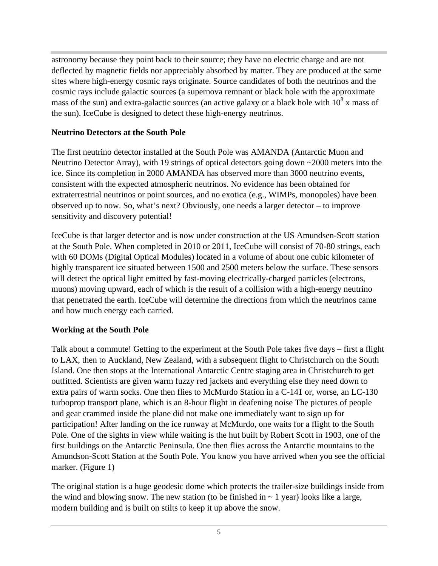astronomy because they point back to their source; they have no electric charge and are not deflected by magnetic fields nor appreciably absorbed by matter. They are produced at the same sites where high-energy cosmic rays originate. Source candidates of both the neutrinos and the cosmic rays include galactic sources (a supernova remnant or black hole with the approximate mass of the sun) and extra-galactic sources (an active galaxy or a black hole with  $10^8$  x mass of the sun). IceCube is designed to detect these high-energy neutrinos.

#### **Neutrino Detectors at the South Pole**

The first neutrino detector installed at the South Pole was AMANDA (Antarctic Muon and Neutrino Detector Array), with 19 strings of optical detectors going down ~2000 meters into the ice. Since its completion in 2000 AMANDA has observed more than 3000 neutrino events, consistent with the expected atmospheric neutrinos. No evidence has been obtained for extraterrestrial neutrinos or point sources, and no exotica (e.g., WIMPs, monopoles) have been observed up to now. So, what's next? Obviously, one needs a larger detector – to improve sensitivity and discovery potential!

IceCube is that larger detector and is now under construction at the US Amundsen-Scott station at the South Pole. When completed in 2010 or 2011, IceCube will consist of 70-80 strings, each with 60 DOMs (Digital Optical Modules) located in a volume of about one cubic kilometer of highly transparent ice situated between 1500 and 2500 meters below the surface. These sensors will detect the optical light emitted by fast-moving electrically-charged particles (electrons, muons) moving upward, each of which is the result of a collision with a high-energy neutrino that penetrated the earth. IceCube will determine the directions from which the neutrinos came and how much energy each carried.

### **Working at the South Pole**

Talk about a commute! Getting to the experiment at the South Pole takes five days – first a flight to LAX, then to Auckland, New Zealand, with a subsequent flight to Christchurch on the South Island. One then stops at the International Antarctic Centre staging area in Christchurch to get outfitted. Scientists are given warm fuzzy red jackets and everything else they need down to extra pairs of warm socks. One then flies to McMurdo Station in a C-141 or, worse, an LC-130 turboprop transport plane, which is an 8-hour flight in deafening noise The pictures of people and gear crammed inside the plane did not make one immediately want to sign up for participation! After landing on the ice runway at McMurdo, one waits for a flight to the South Pole. One of the sights in view while waiting is the hut built by Robert Scott in 1903, one of the first buildings on the Antarctic Peninsula. One then flies across the Antarctic mountains to the Amundson-Scott Station at the South Pole. You know you have arrived when you see the official marker. (Figure 1)

The original station is a huge geodesic dome which protects the trailer-size buildings inside from the wind and blowing snow. The new station (to be finished in  $\sim 1$  year) looks like a large, modern building and is built on stilts to keep it up above the snow.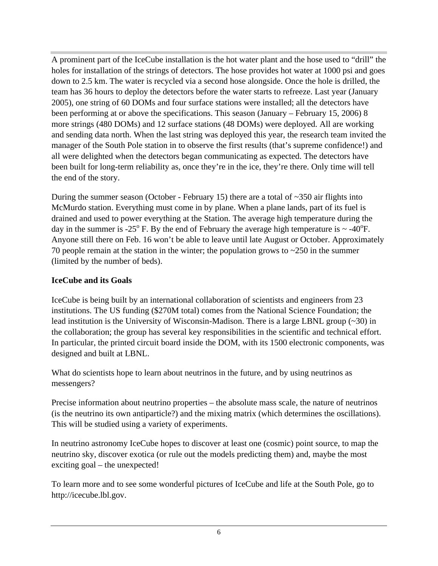A prominent part of the IceCube installation is the hot water plant and the hose used to "drill" the holes for installation of the strings of detectors. The hose provides hot water at 1000 psi and goes down to 2.5 km. The water is recycled via a second hose alongside. Once the hole is drilled, the team has 36 hours to deploy the detectors before the water starts to refreeze. Last year (January 2005), one string of 60 DOMs and four surface stations were installed; all the detectors have been performing at or above the specifications. This season (January – February 15, 2006) 8 more strings (480 DOMs) and 12 surface stations (48 DOMs) were deployed. All are working and sending data north. When the last string was deployed this year, the research team invited the manager of the South Pole station in to observe the first results (that's supreme confidence!) and all were delighted when the detectors began communicating as expected. The detectors have been built for long-term reliability as, once they're in the ice, they're there. Only time will tell the end of the story.

During the summer season (October - February 15) there are a total of  $\sim$ 350 air flights into McMurdo station. Everything must come in by plane. When a plane lands, part of its fuel is drained and used to power everything at the Station. The average high temperature during the day in the summer is -25 $^{\circ}$  F. By the end of February the average high temperature is  $\sim$  -40 $^{\circ}$ F. Anyone still there on Feb. 16 won't be able to leave until late August or October. Approximately 70 people remain at the station in the winter; the population grows to  $\sim$ 250 in the summer (limited by the number of beds).

#### **IceCube and its Goals**

IceCube is being built by an international collaboration of scientists and engineers from 23 institutions. The US funding (\$270M total) comes from the National Science Foundation; the lead institution is the University of Wisconsin-Madison. There is a large LBNL group (~30) in the collaboration; the group has several key responsibilities in the scientific and technical effort. In particular, the printed circuit board inside the DOM, with its 1500 electronic components, was designed and built at LBNL.

What do scientists hope to learn about neutrinos in the future, and by using neutrinos as messengers?

Precise information about neutrino properties – the absolute mass scale, the nature of neutrinos (is the neutrino its own antiparticle?) and the mixing matrix (which determines the oscillations). This will be studied using a variety of experiments.

In neutrino astronomy IceCube hopes to discover at least one (cosmic) point source, to map the neutrino sky, discover exotica (or rule out the models predicting them) and, maybe the most exciting goal – the unexpected!

To learn more and to see some wonderful pictures of IceCube and life at the South Pole, go to http://icecube.lbl.gov.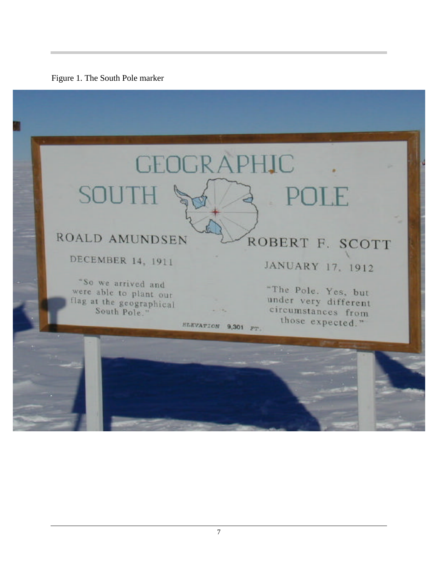

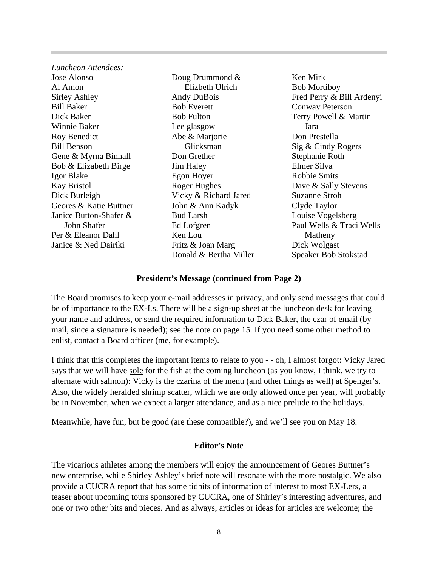| Luncheon Attendees:    |                        |                           |
|------------------------|------------------------|---------------------------|
| Jose Alonso            | Doug Drummond $\&$     | Ken Mirk                  |
| Al Amon                | Elizbeth Ulrich        | <b>Bob Mortiboy</b>       |
| Sirley Ashley          | <b>Andy DuBois</b>     | Fred Perry & Bill Ardenyi |
| <b>Bill Baker</b>      | <b>Bob Everett</b>     | <b>Conway Peterson</b>    |
| Dick Baker             | <b>Bob Fulton</b>      | Terry Powell & Martin     |
| Winnie Baker           | Lee glasgow            | Jara                      |
| Roy Benedict           | Abe & Marjorie         | Don Prestella             |
| <b>Bill Benson</b>     | Glicksman              | Sig & Cindy Rogers        |
| Gene & Myrna Binnall   | Don Grether            | Stephanie Roth            |
| Bob & Elizabeth Birge  | <b>Jim Haley</b>       | Elmer Silva               |
| Igor Blake             | Egon Hoyer             | <b>Robbie Smits</b>       |
| <b>Kay Bristol</b>     | Roger Hughes           | Dave & Sally Stevens      |
| Dick Burleigh          | Vicky & Richard Jared  | <b>Suzanne Stroh</b>      |
| Geores & Katie Buttner | John & Ann Kadyk       | Clyde Taylor              |
| Janice Button-Shafer & | <b>Bud Larsh</b>       | Louise Vogelsberg         |
| John Shafer            | Ed Lofgren             | Paul Wells & Traci Wells  |
| Per & Eleanor Dahl     | Ken Lou                | Matheny                   |
| Janice & Ned Dairiki   | Fritz & Joan Marg      | Dick Wolgast              |
|                        | Donald & Bertha Miller | Speaker Bob Stokstad      |
|                        |                        |                           |

#### **President's Message (continued from Page 2)**

The Board promises to keep your e-mail addresses in privacy, and only send messages that could be of importance to the EX-Ls. There will be a sign-up sheet at the luncheon desk for leaving your name and address, or send the required information to Dick Baker, the czar of email (by mail, since a signature is needed); see the note on page 15. If you need some other method to enlist, contact a Board officer (me, for example).

I think that this completes the important items to relate to you - - oh, I almost forgot: Vicky Jared says that we will have sole for the fish at the coming luncheon (as you know, I think, we try to alternate with salmon): Vicky is the czarina of the menu (and other things as well) at Spenger's. Also, the widely heralded shrimp scatter, which we are only allowed once per year, will probably be in November, when we expect a larger attendance, and as a nice prelude to the holidays.

Meanwhile, have fun, but be good (are these compatible?), and we'll see you on May 18.

#### **Editor's Note**

The vicarious athletes among the members will enjoy the announcement of Geores Buttner's new enterprise, while Shirley Ashley's brief note will resonate with the more nostalgic. We also provide a CUCRA report that has some tidbits of information of interest to most EX-Lers, a teaser about upcoming tours sponsored by CUCRA, one of Shirley's interesting adventures, and one or two other bits and pieces. And as always, articles or ideas for articles are welcome; the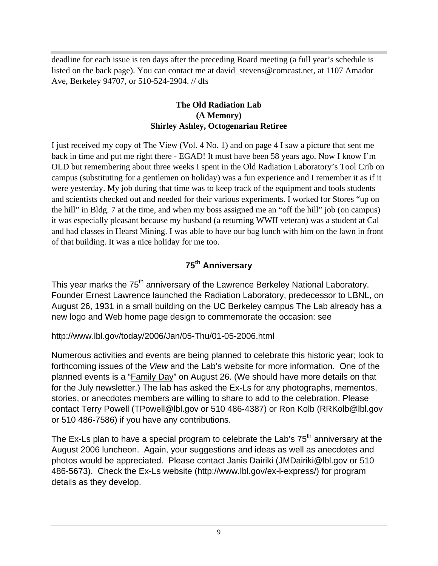deadline for each issue is ten days after the preceding Board meeting (a full year's schedule is listed on the back page). You can contact me at david\_stevens@comcast.net, at 1107 Amador Ave, Berkeley 94707, or 510-524-2904. // dfs

#### **The Old Radiation Lab (A Memory) Shirley Ashley, Octogenarian Retiree**

I just received my copy of The View (Vol. 4 No. 1) and on page 4 I saw a picture that sent me back in time and put me right there - EGAD! It must have been 58 years ago. Now I know I'm OLD but remembering about three weeks I spent in the Old Radiation Laboratory's Tool Crib on campus (substituting for a gentlemen on holiday) was a fun experience and I remember it as if it were yesterday. My job during that time was to keep track of the equipment and tools students and scientists checked out and needed for their various experiments. I worked for Stores "up on the hill" in Bldg. 7 at the time, and when my boss assigned me an "off the hill" job (on campus) it was especially pleasant because my husband (a returning WWII veteran) was a student at Cal and had classes in Hearst Mining. I was able to have our bag lunch with him on the lawn in front of that building. It was a nice holiday for me too.

## **75th Anniversary**

This year marks the 75<sup>th</sup> anniversary of the Lawrence Berkeley National Laboratory. Founder Ernest Lawrence launched the Radiation Laboratory, predecessor to LBNL, on August 26, 1931 in a small building on the UC Berkeley campus The Lab already has a new logo and Web home page design to commemorate the occasion: see

### http://www.lbl.gov/today/2006/Jan/05-Thu/01-05-2006.html

Numerous activities and events are being planned to celebrate this historic year; look to forthcoming issues of the *View* and the Lab's website for more information. One of the planned events is a "Family Day" on August 26. (We should have more details on that for the July newsletter.) The lab has asked the Ex-Ls for any photographs, mementos, stories, or anecdotes members are willing to share to add to the celebration. Please contact Terry Powell (TPowell@lbl.gov or 510 486-4387) or Ron Kolb (RRKolb@lbl.gov or 510 486-7586) if you have any contributions.

The Ex-Ls plan to have a special program to celebrate the Lab's  $75<sup>th</sup>$  anniversary at the August 2006 luncheon. Again, your suggestions and ideas as well as anecdotes and photos would be appreciated. Please contact Janis Dairiki (JMDairiki@lbl.gov or 510 486-5673). Check the Ex-Ls website (http://www.lbl.gov/ex-l-express/) for program details as they develop.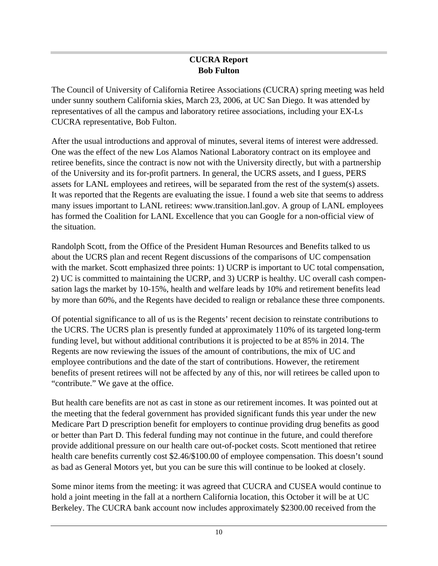#### **CUCRA Report Bob Fulton**

The Council of University of California Retiree Associations (CUCRA) spring meeting was held under sunny southern California skies, March 23, 2006, at UC San Diego. It was attended by representatives of all the campus and laboratory retiree associations, including your EX-Ls CUCRA representative, Bob Fulton.

After the usual introductions and approval of minutes, several items of interest were addressed. One was the effect of the new Los Alamos National Laboratory contract on its employee and retiree benefits, since the contract is now not with the University directly, but with a partnership of the University and its for-profit partners. In general, the UCRS assets, and I guess, PERS assets for LANL employees and retirees, will be separated from the rest of the system(s) assets. It was reported that the Regents are evaluating the issue. I found a web site that seems to address many issues important to LANL retirees: www.transition.lanl.gov. A group of LANL employees has formed the Coalition for LANL Excellence that you can Google for a non-official view of the situation.

Randolph Scott, from the Office of the President Human Resources and Benefits talked to us about the UCRS plan and recent Regent discussions of the comparisons of UC compensation with the market. Scott emphasized three points: 1) UCRP is important to UC total compensation, 2) UC is committed to maintaining the UCRP, and 3) UCRP is healthy. UC overall cash compensation lags the market by 10-15%, health and welfare leads by 10% and retirement benefits lead by more than 60%, and the Regents have decided to realign or rebalance these three components.

Of potential significance to all of us is the Regents' recent decision to reinstate contributions to the UCRS. The UCRS plan is presently funded at approximately 110% of its targeted long-term funding level, but without additional contributions it is projected to be at 85% in 2014. The Regents are now reviewing the issues of the amount of contributions, the mix of UC and employee contributions and the date of the start of contributions. However, the retirement benefits of present retirees will not be affected by any of this, nor will retirees be called upon to "contribute." We gave at the office.

But health care benefits are not as cast in stone as our retirement incomes. It was pointed out at the meeting that the federal government has provided significant funds this year under the new Medicare Part D prescription benefit for employers to continue providing drug benefits as good or better than Part D. This federal funding may not continue in the future, and could therefore provide additional pressure on our health care out-of-pocket costs. Scott mentioned that retiree health care benefits currently cost \$2.46/\$100.00 of employee compensation. This doesn't sound as bad as General Motors yet, but you can be sure this will continue to be looked at closely.

Some minor items from the meeting: it was agreed that CUCRA and CUSEA would continue to hold a joint meeting in the fall at a northern California location, this October it will be at UC Berkeley. The CUCRA bank account now includes approximately \$2300.00 received from the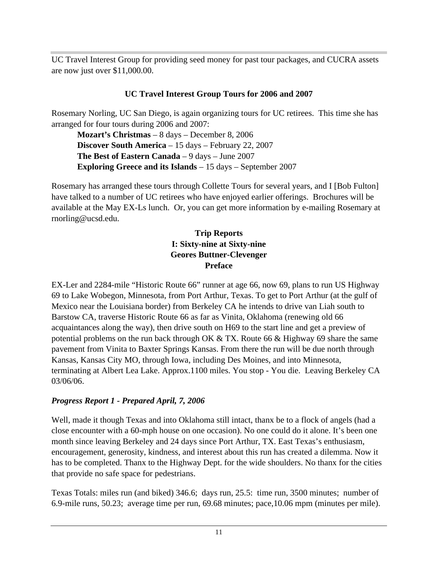UC Travel Interest Group for providing seed money for past tour packages, and CUCRA assets are now just over \$11,000.00.

#### **UC Travel Interest Group Tours for 2006 and 2007**

Rosemary Norling, UC San Diego, is again organizing tours for UC retirees. This time she has arranged for four tours during 2006 and 2007:

**Mozart's Christmas** – 8 days – December 8, 2006 **Discover South America** – 15 days – February 22, 2007 **The Best of Eastern Canada** – 9 days – June 2007 **Exploring Greece and its Islands** – 15 days – September 2007

Rosemary has arranged these tours through Collette Tours for several years, and I [Bob Fulton] have talked to a number of UC retirees who have enjoyed earlier offerings. Brochures will be available at the May EX-Ls lunch. Or, you can get more information by e-mailing Rosemary at rnorling@ucsd.edu.

#### **Trip Reports I: Sixty-nine at Sixty-nine Geores Buttner-Clevenger Preface**

EX-Ler and 2284-mile "Historic Route 66" runner at age 66, now 69, plans to run US Highway 69 to Lake Wobegon, Minnesota, from Port Arthur, Texas. To get to Port Arthur (at the gulf of Mexico near the Louisiana border) from Berkeley CA he intends to drive van Liah south to Barstow CA, traverse Historic Route 66 as far as Vinita, Oklahoma (renewing old 66 acquaintances along the way), then drive south on H69 to the start line and get a preview of potential problems on the run back through OK & TX. Route 66 & Highway 69 share the same pavement from Vinita to Baxter Springs Kansas. From there the run will be due north through Kansas, Kansas City MO, through Iowa, including Des Moines, and into Minnesota, terminating at Albert Lea Lake. Approx.1100 miles. You stop - You die. Leaving Berkeley CA 03/06/06.

### *Progress Report 1 - Prepared April, 7, 2006*

Well, made it though Texas and into Oklahoma still intact, thanx be to a flock of angels (had a close encounter with a 60-mph house on one occasion). No one could do it alone. It's been one month since leaving Berkeley and 24 days since Port Arthur, TX. East Texas's enthusiasm, encouragement, generosity, kindness, and interest about this run has created a dilemma. Now it has to be completed. Thanx to the Highway Dept. for the wide shoulders. No thanx for the cities that provide no safe space for pedestrians.

Texas Totals: miles run (and biked) 346.6; days run, 25.5: time run, 3500 minutes; number of 6.9-mile runs, 50.23; average time per run, 69.68 minutes; pace,10.06 mpm (minutes per mile).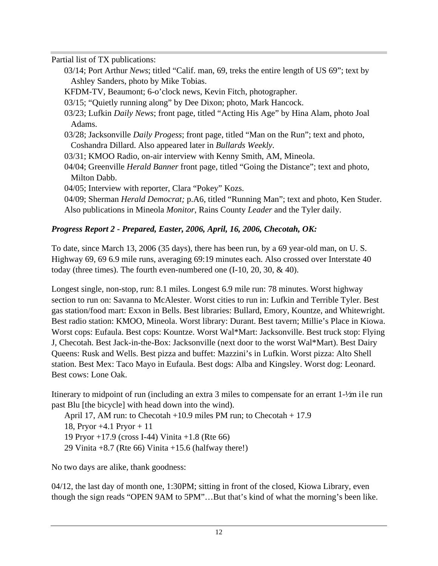Partial list of TX publications:

- 03/14; Port Arthur *News*; titled "Calif. man, 69, treks the entire length of US 69"; text by Ashley Sanders, photo by Mike Tobias.
- KFDM-TV, Beaumont; 6-o'clock news, Kevin Fitch, photographer.
- 03/15; "Quietly running along" by Dee Dixon; photo, Mark Hancock.
- 03/23; Lufkin *Daily News*; front page, titled "Acting His Age" by Hina Alam, photo Joal Adams.
- 03/28; Jacksonville *Daily Progess*; front page, titled "Man on the Run"; text and photo, Coshandra Dillard. Also appeared later in *Bullards Weekly*.
- 03/31; KMOO Radio, on-air interview with Kenny Smith, AM, Mineola.
- 04/04; Greenville *Herald Banner* front page, titled "Going the Distance"; text and photo, Milton Dabb.
- 04/05; Interview with reporter, Clara "Pokey" Kozs.
- 04/09; Sherman *Herald Democrat;* p.A6, titled "Running Man"; text and photo, Ken Studer. Also publications in Mineola *Monitor*, Rains County *Leader* and the Tyler daily.

### *Progress Report 2 - Prepared, Easter, 2006, April, 16, 2006, Checotah, OK:*

To date, since March 13, 2006 (35 days), there has been run, by a 69 year-old man, on U. S. Highway 69, 69 6.9 mile runs, averaging 69:19 minutes each. Also crossed over Interstate 40 today (three times). The fourth even-numbered one (I-10, 20, 30, & 40).

Longest single, non-stop, run: 8.1 miles. Longest 6.9 mile run: 78 minutes. Worst highway section to run on: Savanna to McAlester. Worst cities to run in: Lufkin and Terrible Tyler. Best gas station/food mart: Exxon in Bells. Best libraries: Bullard, Emory, Kountze, and Whitewright. Best radio station: KMOO, Mineola. Worst library: Durant. Best tavern; Millie's Place in Kiowa. Worst cops: Eufaula. Best cops: Kountze. Worst Wal\*Mart: Jacksonville. Best truck stop: Flying J, Checotah. Best Jack-in-the-Box: Jacksonville (next door to the worst Wal\*Mart). Best Dairy Queens: Rusk and Wells. Best pizza and buffet: Mazzini's in Lufkin. Worst pizza: Alto Shell station. Best Mex: Taco Mayo in Eufaula. Best dogs: Alba and Kingsley. Worst dog: Leonard. Best cows: Lone Oak.

Itinerary to midpoint of run (including an extra 3 miles to compensate for an errant 1- $\frac{1}{2}$ m ile run past Blu [the bicycle] with head down into the wind).

April 17, AM run: to Checotah +10.9 miles PM run; to Checotah + 17.9 18, Pryor +4.1 Pryor + 11 19 Pryor +17.9 (cross I-44) Vinita +1.8 (Rte 66) 29 Vinita  $+8.7$  (Rte 66) Vinita  $+15.6$  (halfway there!)

No two days are alike, thank goodness:

04/12, the last day of month one, 1:30PM; sitting in front of the closed, Kiowa Library, even though the sign reads "OPEN 9AM to 5PM"…But that's kind of what the morning's been like.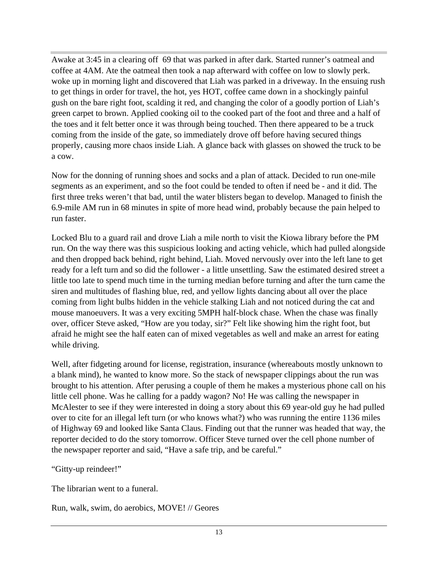Awake at 3:45 in a clearing off 69 that was parked in after dark. Started runner's oatmeal and coffee at 4AM. Ate the oatmeal then took a nap afterward with coffee on low to slowly perk. woke up in morning light and discovered that Liah was parked in a driveway. In the ensuing rush to get things in order for travel, the hot, yes HOT, coffee came down in a shockingly painful gush on the bare right foot, scalding it red, and changing the color of a goodly portion of Liah's green carpet to brown. Applied cooking oil to the cooked part of the foot and three and a half of the toes and it felt better once it was through being touched. Then there appeared to be a truck coming from the inside of the gate, so immediately drove off before having secured things properly, causing more chaos inside Liah. A glance back with glasses on showed the truck to be a cow.

Now for the donning of running shoes and socks and a plan of attack. Decided to run one-mile segments as an experiment, and so the foot could be tended to often if need be - and it did. The first three treks weren't that bad, until the water blisters began to develop. Managed to finish the 6.9-mile AM run in 68 minutes in spite of more head wind, probably because the pain helped to run faster.

Locked Blu to a guard rail and drove Liah a mile north to visit the Kiowa library before the PM run. On the way there was this suspicious looking and acting vehicle, which had pulled alongside and then dropped back behind, right behind, Liah. Moved nervously over into the left lane to get ready for a left turn and so did the follower - a little unsettling. Saw the estimated desired street a little too late to spend much time in the turning median before turning and after the turn came the siren and multitudes of flashing blue, red, and yellow lights dancing about all over the place coming from light bulbs hidden in the vehicle stalking Liah and not noticed during the cat and mouse manoeuvers. It was a very exciting 5MPH half-block chase. When the chase was finally over, officer Steve asked, "How are you today, sir?" Felt like showing him the right foot, but afraid he might see the half eaten can of mixed vegetables as well and make an arrest for eating while driving.

Well, after fidgeting around for license, registration, insurance (whereabouts mostly unknown to a blank mind), he wanted to know more. So the stack of newspaper clippings about the run was brought to his attention. After perusing a couple of them he makes a mysterious phone call on his little cell phone. Was he calling for a paddy wagon? No! He was calling the newspaper in McAlester to see if they were interested in doing a story about this 69 year-old guy he had pulled over to cite for an illegal left turn (or who knows what?) who was running the entire 1136 miles of Highway 69 and looked like Santa Claus. Finding out that the runner was headed that way, the reporter decided to do the story tomorrow. Officer Steve turned over the cell phone number of the newspaper reporter and said, "Have a safe trip, and be careful."

"Gitty-up reindeer!"

The librarian went to a funeral.

Run, walk, swim, do aerobics, MOVE! // Geores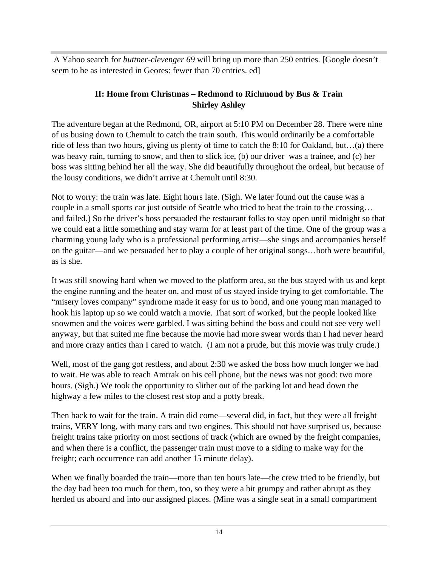A Yahoo search for *buttner-clevenger 69* will bring up more than 250 entries. [Google doesn't seem to be as interested in Geores: fewer than 70 entries. ed]

#### **II: Home from Christmas – Redmond to Richmond by Bus & Train Shirley Ashley**

The adventure began at the Redmond, OR, airport at 5:10 PM on December 28. There were nine of us busing down to Chemult to catch the train south. This would ordinarily be a comfortable ride of less than two hours, giving us plenty of time to catch the 8:10 for Oakland, but…(a) there was heavy rain, turning to snow, and then to slick ice, (b) our driver was a trainee, and (c) her boss was sitting behind her all the way. She did beautifully throughout the ordeal, but because of the lousy conditions, we didn't arrive at Chemult until 8:30.

Not to worry: the train was late. Eight hours late. (Sigh. We later found out the cause was a couple in a small sports car just outside of Seattle who tried to beat the train to the crossing… and failed.) So the driver's boss persuaded the restaurant folks to stay open until midnight so that we could eat a little something and stay warm for at least part of the time. One of the group was a charming young lady who is a professional performing artist—she sings and accompanies herself on the guitar—and we persuaded her to play a couple of her original songs…both were beautiful, as is she.

It was still snowing hard when we moved to the platform area, so the bus stayed with us and kept the engine running and the heater on, and most of us stayed inside trying to get comfortable. The "misery loves company" syndrome made it easy for us to bond, and one young man managed to hook his laptop up so we could watch a movie. That sort of worked, but the people looked like snowmen and the voices were garbled. I was sitting behind the boss and could not see very well anyway, but that suited me fine because the movie had more swear words than I had never heard and more crazy antics than I cared to watch. (I am not a prude, but this movie was truly crude.)

Well, most of the gang got restless, and about 2:30 we asked the boss how much longer we had to wait. He was able to reach Amtrak on his cell phone, but the news was not good: two more hours. (Sigh.) We took the opportunity to slither out of the parking lot and head down the highway a few miles to the closest rest stop and a potty break.

Then back to wait for the train. A train did come—several did, in fact, but they were all freight trains, VERY long, with many cars and two engines. This should not have surprised us, because freight trains take priority on most sections of track (which are owned by the freight companies, and when there is a conflict, the passenger train must move to a siding to make way for the freight; each occurrence can add another 15 minute delay).

When we finally boarded the train—more than ten hours late—the crew tried to be friendly, but the day had been too much for them, too, so they were a bit grumpy and rather abrupt as they herded us aboard and into our assigned places. (Mine was a single seat in a small compartment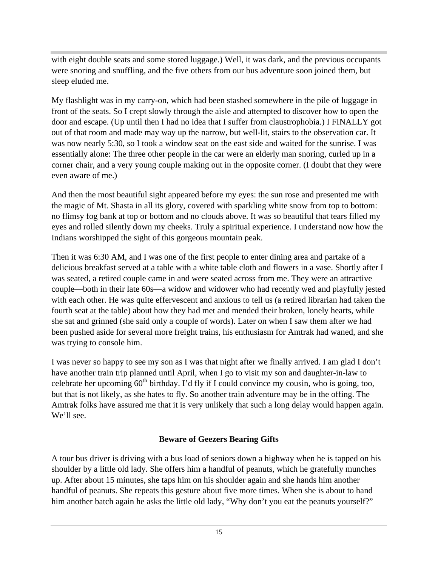with eight double seats and some stored luggage.) Well, it was dark, and the previous occupants were snoring and snuffling, and the five others from our bus adventure soon joined them, but sleep eluded me.

My flashlight was in my carry-on, which had been stashed somewhere in the pile of luggage in front of the seats. So I crept slowly through the aisle and attempted to discover how to open the door and escape. (Up until then I had no idea that I suffer from claustrophobia.) I FINALLY got out of that room and made may way up the narrow, but well-lit, stairs to the observation car. It was now nearly 5:30, so I took a window seat on the east side and waited for the sunrise. I was essentially alone: The three other people in the car were an elderly man snoring, curled up in a corner chair, and a very young couple making out in the opposite corner. (I doubt that they were even aware of me.)

And then the most beautiful sight appeared before my eyes: the sun rose and presented me with the magic of Mt. Shasta in all its glory, covered with sparkling white snow from top to bottom: no flimsy fog bank at top or bottom and no clouds above. It was so beautiful that tears filled my eyes and rolled silently down my cheeks. Truly a spiritual experience. I understand now how the Indians worshipped the sight of this gorgeous mountain peak.

Then it was 6:30 AM, and I was one of the first people to enter dining area and partake of a delicious breakfast served at a table with a white table cloth and flowers in a vase. Shortly after I was seated, a retired couple came in and were seated across from me. They were an attractive couple—both in their late 60s—a widow and widower who had recently wed and playfully jested with each other. He was quite effervescent and anxious to tell us (a retired librarian had taken the fourth seat at the table) about how they had met and mended their broken, lonely hearts, while she sat and grinned (she said only a couple of words). Later on when I saw them after we had been pushed aside for several more freight trains, his enthusiasm for Amtrak had waned, and she was trying to console him.

I was never so happy to see my son as I was that night after we finally arrived. I am glad I don't have another train trip planned until April, when I go to visit my son and daughter-in-law to celebrate her upcoming 60<sup>th</sup> birthday. I'd fly if I could convince my cousin, who is going, too, but that is not likely, as she hates to fly. So another train adventure may be in the offing. The Amtrak folks have assured me that it is very unlikely that such a long delay would happen again. We'll see.

#### **Beware of Geezers Bearing Gifts**

A tour bus driver is driving with a bus load of seniors down a highway when he is tapped on his shoulder by a little old lady. She offers him a handful of peanuts, which he gratefully munches up. After about 15 minutes, she taps him on his shoulder again and she hands him another handful of peanuts. She repeats this gesture about five more times. When she is about to hand him another batch again he asks the little old lady, "Why don't you eat the peanuts yourself?"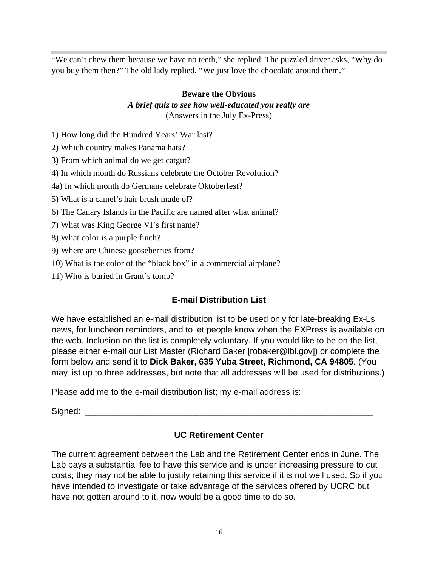"We can't chew them because we have no teeth," she replied. The puzzled driver asks, "Why do you buy them then?" The old lady replied, "We just love the chocolate around them."

#### **Beware the Obvious** *A brief quiz to see how well-educated you really are* (Answers in the July Ex-Press)

- 1) How long did the Hundred Years' War last?
- 2) Which country makes Panama hats?
- 3) From which animal do we get catgut?
- 4) In which month do Russians celebrate the October Revolution?
- 4a) In which month do Germans celebrate Oktoberfest?
- 5) What is a camel's hair brush made of?
- 6) The Canary Islands in the Pacific are named after what animal?
- 7) What was King George VI's first name?
- 8) What color is a purple finch?
- 9) Where are Chinese gooseberries from?
- 10) What is the color of the "black box" in a commercial airplane?
- 11) Who is buried in Grant's tomb?

## **E-mail Distribution List**

We have established an e-mail distribution list to be used only for late-breaking Ex-Ls news, for luncheon reminders, and to let people know when the EXPress is available on the web. Inclusion on the list is completely voluntary. If you would like to be on the list, please either e-mail our List Master (Richard Baker [robaker@lbl.gov]) or complete the form below and send it to **Dick Baker, 635 Yuba Street, Richmond, CA 94805**. (You may list up to three addresses, but note that all addresses will be used for distributions.)

Please add me to the e-mail distribution list; my e-mail address is:

Signed: \_\_\_\_\_\_\_\_\_\_\_\_\_\_\_\_\_\_\_\_\_\_\_\_\_\_\_\_\_\_\_\_\_\_\_\_\_\_\_\_\_\_\_\_\_\_\_\_\_\_\_\_\_\_\_\_\_\_\_\_

## **UC Retirement Center**

The current agreement between the Lab and the Retirement Center ends in June. The Lab pays a substantial fee to have this service and is under increasing pressure to cut costs; they may not be able to justify retaining this service if it is not well used. So if you have intended to investigate or take advantage of the services offered by UCRC but have not gotten around to it, now would be a good time to do so.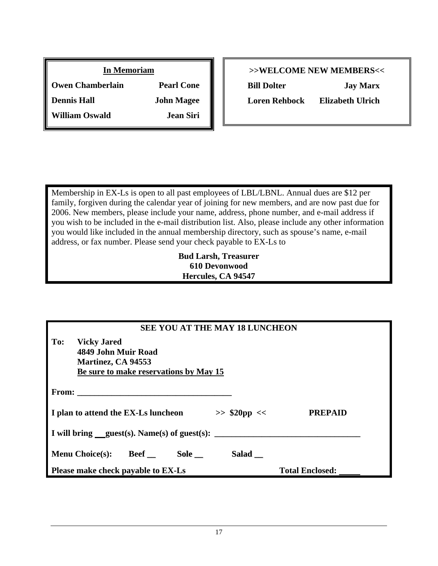| <b>In Memoriam</b>      |                   |
|-------------------------|-------------------|
| <b>Owen Chamberlain</b> | <b>Pearl Cone</b> |
| <b>Dennis Hall</b>      | <b>John Magee</b> |
| <b>William Oswald</b>   | <b>Jean Siri</b>  |

#### **>>WELCOME NEW MEMBERS<<**

**Bill Dolter Jay Marx Loren Rehbock Elizabeth Ulrich**

Membership in EX-Ls is open to all past employees of LBL/LBNL. Annual dues are \$12 per family, forgiven during the calendar year of joining for new members, and are now past due for 2006. New members, please include your name, address, phone number, and e-mail address if you wish to be included in the e-mail distribution list. Also, please include any other information you would like included in the annual membership directory, such as spouse's name, e-mail address, or fax number. Please send your check payable to EX-Ls to

#### **Bud Larsh, Treasurer 610 Devonwood Hercules, CA 94547**

| <b>SEE YOU AT THE MAY 18 LUNCHEON</b>                                                                            |                        |  |  |
|------------------------------------------------------------------------------------------------------------------|------------------------|--|--|
| To:<br><b>Vicky Jared</b><br>4849 John Muir Road<br>Martinez, CA 94553<br>Be sure to make reservations by May 15 |                        |  |  |
| From: $\qquad \qquad$                                                                                            |                        |  |  |
| I plan to attend the EX-Ls luncheon<br>$>>$ \$20pp <<                                                            | <b>PREPAID</b>         |  |  |
| I will bring $quest(s)$ . Name(s) of guest(s):                                                                   |                        |  |  |
| Salad __<br><b>Menu Choice(s):</b><br><b>Beef</b><br>Sole __                                                     |                        |  |  |
| Please make check payable to EX-Ls                                                                               | <b>Total Enclosed:</b> |  |  |